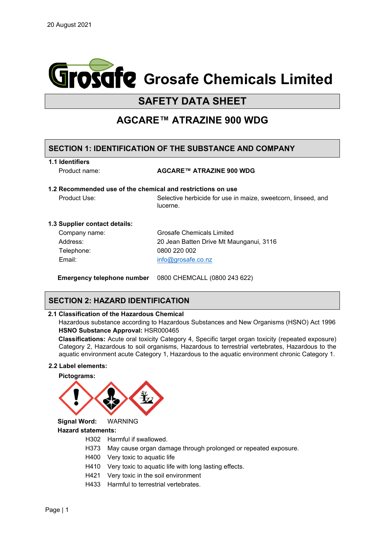

# **SAFETY DATA SHEET**

# **AGCARE™ ATRAZINE 900 WDG**

### **SECTION 1: IDENTIFICATION OF THE SUBSTANCE AND COMPANY**

### **1.1 Identifiers**

### Product name: **AGCARE™ ATRAZINE 900 WDG**

**1.2 Recommended use of the chemical and restrictions on use**

Product Use: Selective herbicide for use in maize, sweetcorn, linseed, and lucerne.

#### **1.3 Supplier contact details:**

| Company name: | Grosafe Chemicals Limited               |
|---------------|-----------------------------------------|
| Address:      | 20 Jean Batten Drive Mt Maunganui, 3116 |
| Telephone:    | 0800 220 002                            |
| Email:        | info@grosafe.co.nz                      |

**Emergency telephone number** 0800 CHEMCALL (0800 243 622)

## **SECTION 2: HAZARD IDENTIFICATION**

### **2.1 Classification of the Hazardous Chemical**

Hazardous substance according to Hazardous Substances and New Organisms (HSNO) Act 1996 **HSNO Substance Approval:** HSR000465

**Classifications:** Acute oral toxicity Category 4, Specific target organ toxicity (repeated exposure) Category 2, Hazardous to soil organisms, Hazardous to terrestrial vertebrates, Hazardous to the aquatic environment acute Category 1, Hazardous to the aquatic environment chronic Category 1.

### **2.2 Label elements:**



- H302 Harmful if swallowed.
- H373 May cause organ damage through prolonged or repeated exposure.
- H400 Very toxic to aquatic life
- H410 Very toxic to aquatic life with long lasting effects.
- H421 Very toxic in the soil environment
- H433 Harmful to terrestrial vertebrates.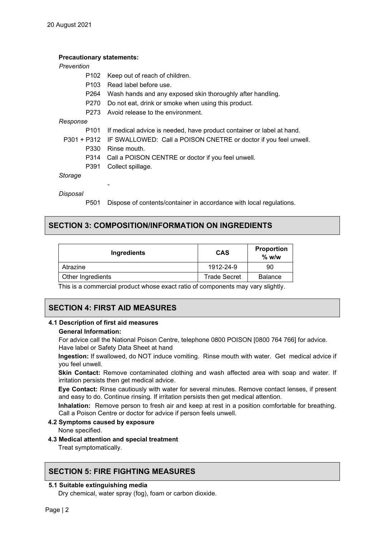### **Precautionary statements:**

### *Prevention*

- P102 Keep out of reach of children.
- P103 Read label before use.
- P264 Wash hands and any exposed skin thoroughly after handling.
- P270 Do not eat, drink or smoke when using this product.
- P273 Avoid release to the environment.

### *Response*

- P101 If medical advice is needed, have product container or label at hand.
- P301 + P312 IF SWALLOWED: Call a POISON CNETRE or doctor if you feel unwell. P330 Rinse mouth.
	- P314 Call a POISON CENTRE or doctor if you feel unwell.
	- P391 Collect spillage.

-

### *Storage*

### *Disposal*

P501 Dispose of contents/container in accordance with local regulations.

### **SECTION 3: COMPOSITION/INFORMATION ON INGREDIENTS**

| Ingredients       | <b>CAS</b>          | <b>Proportion</b><br>$%$ w/w |
|-------------------|---------------------|------------------------------|
| Atrazine          | 1912-24-9           | 90                           |
| Other Ingredients | <b>Trade Secret</b> | <b>Balance</b>               |

This is a commercial product whose exact ratio of components may vary slightly.

# **SECTION 4: FIRST AID MEASURES**

### **4.1 Description of first aid measures**

### **General Information:**

For advice call the National Poison Centre, telephone 0800 POISON [0800 764 766] for advice. Have label or Safety Data Sheet at hand

**Ingestion:** If swallowed, do NOT induce vomiting. Rinse mouth with water. Get medical advice if you feel unwell.

**Skin Contact:** Remove contaminated clothing and wash affected area with soap and water. If irritation persists then get medical advice.

**Eye Contact:** Rinse cautiously with water for several minutes. Remove contact lenses, if present and easy to do. Continue rinsing. If irritation persists then get medical attention.

**Inhalation:** Remove person to fresh air and keep at rest in a position comfortable for breathing. Call a Poison Centre or doctor for advice if person feels unwell.

# **4.2 Symptoms caused by exposure**

None specified.

### **4.3 Medical attention and special treatment**

Treat symptomatically.

### **SECTION 5: FIRE FIGHTING MEASURES**

### **5.1 Suitable extinguishing media**

Dry chemical, water spray (fog), foam or carbon dioxide.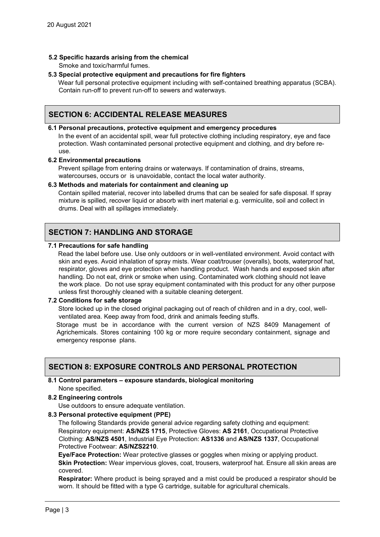### **5.2 Specific hazards arising from the chemical**

Smoke and toxic/harmful fumes.

### **5.3 Special protective equipment and precautions for fire fighters**

Wear full personal protective equipment including with self-contained breathing apparatus (SCBA). Contain run-off to prevent run-off to sewers and waterways.

## **SECTION 6: ACCIDENTAL RELEASE MEASURES**

#### **6.1 Personal precautions, protective equipment and emergency procedures**

In the event of an accidental spill, wear full protective clothing including respiratory, eye and face protection. Wash contaminated personal protective equipment and clothing, and dry before reuse.

### **6.2 Environmental precautions**

Prevent spillage from entering drains or waterways. If contamination of drains, streams, watercourses, occurs or is unavoidable, contact the local water authority.

#### **6.3 Methods and materials for containment and cleaning up**

Contain spilled material, recover into labelled drums that can be sealed for safe disposal. If spray mixture is spilled, recover liquid or absorb with inert material e.g. vermiculite, soil and collect in drums. Deal with all spillages immediately.

# **SECTION 7: HANDLING AND STORAGE**

#### **7.1 Precautions for safe handling**

Read the label before use. Use only outdoors or in well-ventilated environment. Avoid contact with skin and eyes. Avoid inhalation of spray mists. Wear coat/trouser (overalls), boots, waterproof hat, respirator, gloves and eye protection when handling product. Wash hands and exposed skin after handling. Do not eat, drink or smoke when using. Contaminated work clothing should not leave the work place. Do not use spray equipment contaminated with this product for any other purpose unless first thoroughly cleaned with a suitable cleaning detergent.

### **7.2 Conditions for safe storage**

Store locked up in the closed original packaging out of reach of children and in a dry, cool, wellventilated area. Keep away from food, drink and animals feeding stuffs.

Storage must be in accordance with the current version of NZS 8409 Management of Agrichemicals. Stores containing 100 kg or more require secondary containment, signage and emergency response plans.

### **SECTION 8: EXPOSURE CONTROLS AND PERSONAL PROTECTION**

- **8.1 Control parameters – exposure standards, biological monitoring**  None specified.
- **8.2 Engineering controls**

Use outdoors to ensure adequate ventilation.

**8.3 Personal protective equipment (PPE)** 

The following Standards provide general advice regarding safety clothing and equipment: Respiratory equipment: **AS/NZS 1715**, Protective Gloves: **AS 2161**, Occupational Protective Clothing: **AS/NZS 4501**, Industrial Eye Protection: **AS1336** and **AS/NZS 1337**, Occupational Protective Footwear: **AS/NZS2210**.

**Eye/Face Protection:** Wear protective glasses or goggles when mixing or applying product. **Skin Protection:** Wear impervious gloves, coat, trousers, waterproof hat. Ensure all skin areas are covered.

**Respirator:** Where product is being sprayed and a mist could be produced a respirator should be worn. It should be fitted with a type G cartridge, suitable for agricultural chemicals.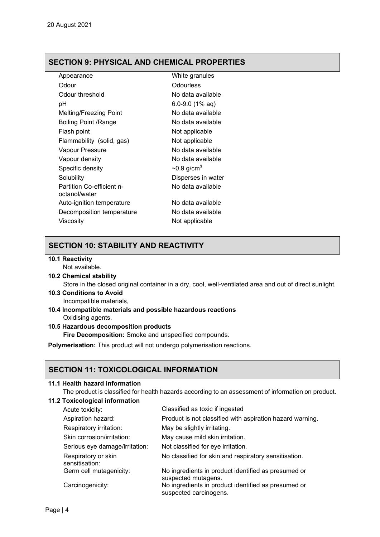# **SECTION 9: PHYSICAL AND CHEMICAL PROPERTIES**

| Appearance                    | White granules               |
|-------------------------------|------------------------------|
| Odour                         | Odourless                    |
| Odour threshold               | No data available            |
| рH                            | 6.0-9.0 $(1\%$ aq)           |
| <b>Melting/Freezing Point</b> | No data available            |
| Boiling Point /Range          | No data available            |
| Flash point                   | Not applicable               |
| Flammability (solid, gas)     | Not applicable               |
| Vapour Pressure               | No data available            |
| Vapour density                | No data available            |
| Specific density              | $\sim 0.9$ g/cm <sup>3</sup> |
| Solubility                    | Disperses in water           |
| Partition Co-efficient n-     | No data available            |
| octanol/water                 |                              |
| Auto-ignition temperature     | No data available            |
| Decomposition temperature     | No data available            |
| Viscosity                     | Not applicable               |
|                               |                              |

# **SECTION 10: STABILITY AND REACTIVITY**

#### **10.1 Reactivity**

Not available.

### **10.2 Chemical stability**

Store in the closed original container in a dry, cool, well-ventilated area and out of direct sunlight.

**10.3 Conditions to Avoid** 

Incompatible materials,

- **10.4 Incompatible materials and possible hazardous reactions**  Oxidising agents.
- **10.5 Hazardous decomposition products**

**Fire Decomposition:** Smoke and unspecified compounds.

**Polymerisation:** This product will not undergo polymerisation reactions.

## **SECTION 11: TOXICOLOGICAL INFORMATION**

### **11.1 Health hazard information**

The product is classified for health hazards according to an assessment of information on product.

# **11.2 Toxicological information**

| Acute toxicity:                       | Classified as toxic if ingested                                               |
|---------------------------------------|-------------------------------------------------------------------------------|
| Aspiration hazard:                    | Product is not classified with aspiration hazard warning.                     |
| Respiratory irritation:               | May be slightly irritating.                                                   |
| Skin corrosion/irritation:            | May cause mild skin irritation.                                               |
| Serious eye damage/irritation:        | Not classified for eye irritation.                                            |
| Respiratory or skin<br>sensitisation: | No classified for skin and respiratory sensitisation.                         |
| Germ cell mutagenicity:               | No ingredients in product identified as presumed or<br>suspected mutagens.    |
| Carcinogenicity:                      | No ingredients in product identified as presumed or<br>suspected carcinogens. |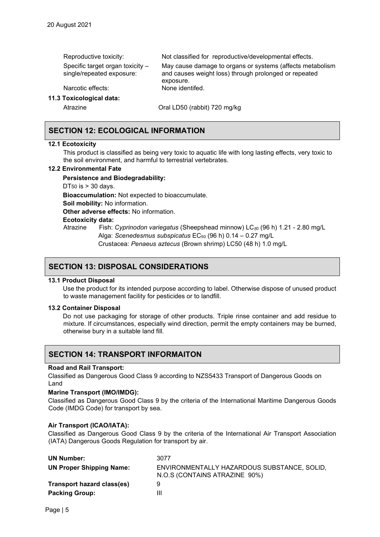Specific target organ toxicity – single/repeated exposure:

Reproductive toxicity: Not classified for reproductive/developmental effects.

May cause damage to organs or systems (affects metabolism and causes weight loss) through prolonged or repeated exposure.

Narcotic effects: None identifed.

### **11.3 Toxicological data:**

Atrazine Oral LD50 (rabbit) 720 mg/kg

## **SECTION 12: ECOLOGICAL INFORMATION**

### **12.1 Ecotoxicity**

This product is classified as being very toxic to aquatic life with long lasting effects, very toxic to the soil environment, and harmful to terrestrial vertebrates.

### **12.2 Environmental Fate**

**Persistence and Biodegradability:**  DT $50$  is  $>$  30 davs. **Bioaccumulation:** Not expected to bioaccumulate. **Soil mobility:** No information. **Other adverse effects:** No information. **Ecotoxicity data:** Atrazine Fish: *Cyprinodon variegatus* (Sheepshead minnow) LC*5*<sup>0</sup> (96 h) 1.21 - 2.80 mg/L Alga: *Scenedesmus subspicatus* EC50 (96 h) 0.14 – 0.27 mg/L

# Crustacea: *Penaeus aztecus* (Brown shrimp) LC50 (48 h) 1.0 mg/L

# **SECTION 13: DISPOSAL CONSIDERATIONS**

### **13.1 Product Disposal**

Use the product for its intended purpose according to label. Otherwise dispose of unused product to waste management facility for pesticides or to landfill.

### **13.2 Container Disposal**

Do not use packaging for storage of other products. Triple rinse container and add residue to mixture. If circumstances, especially wind direction, permit the empty containers may be burned, otherwise bury in a suitable land fill.

### **SECTION 14: TRANSPORT INFORMAITON**

### **Road and Rail Transport:**

Classified as Dangerous Good Class 9 according to NZS5433 Transport of Dangerous Goods on Land

### **Marine Transport (IMO/IMDG):**

Classified as Dangerous Good Class 9 by the criteria of the International Maritime Dangerous Goods Code (IMDG Code) for transport by sea.

### **Air Transport (ICAO/IATA):**

Classified as Dangerous Good Class 9 by the criteria of the International Air Transport Association (IATA) Dangerous Goods Regulation for transport by air.

| <b>UN Number:</b>               | 3077                                                                         |
|---------------------------------|------------------------------------------------------------------------------|
| <b>UN Proper Shipping Name:</b> | ENVIRONMENTALLY HAZARDOUS SUBSTANCE, SOLID,<br>N.O.S (CONTAINS ATRAZINE 90%) |
| Transport hazard class(es)      | 9                                                                            |
| <b>Packing Group:</b>           | Ш                                                                            |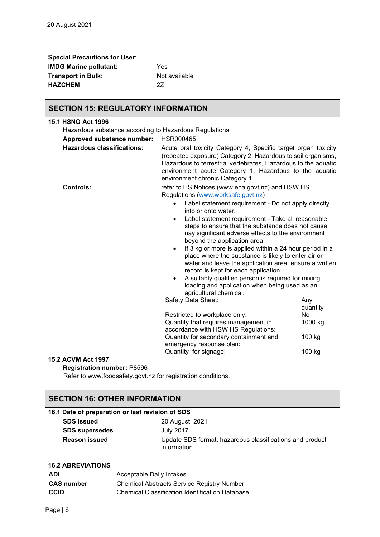**Special Precautions for User**: **IMDG Marine pollutant:** Yes **Transport in Bulk:** Not available **HAZCHEM** 2Z

### **SECTION 15: REGULATORY INFORMATION**

| 15.1 HSNO Act 1996                                     |                                                                                                                                                                                                                                                                                                                                                                                                                                                                                                                                                                                                                                                                                               |                 |
|--------------------------------------------------------|-----------------------------------------------------------------------------------------------------------------------------------------------------------------------------------------------------------------------------------------------------------------------------------------------------------------------------------------------------------------------------------------------------------------------------------------------------------------------------------------------------------------------------------------------------------------------------------------------------------------------------------------------------------------------------------------------|-----------------|
| Hazardous substance according to Hazardous Regulations |                                                                                                                                                                                                                                                                                                                                                                                                                                                                                                                                                                                                                                                                                               |                 |
| Approved substance number:                             | HSR000465                                                                                                                                                                                                                                                                                                                                                                                                                                                                                                                                                                                                                                                                                     |                 |
| <b>Hazardous classifications:</b>                      | Acute oral toxicity Category 4, Specific target organ toxicity<br>(repeated exposure) Category 2, Hazardous to soil organisms,<br>Hazardous to terrestrial vertebrates, Hazardous to the aquatic<br>environment acute Category 1, Hazardous to the aquatic<br>environment chronic Category 1.                                                                                                                                                                                                                                                                                                                                                                                                 |                 |
| <b>Controls:</b>                                       | refer to HS Notices (www.epa.govt.nz) and HSW HS<br>Regulations (www.worksafe.govt.nz)                                                                                                                                                                                                                                                                                                                                                                                                                                                                                                                                                                                                        |                 |
|                                                        | Label statement requirement - Do not apply directly<br>into or onto water.<br>Label statement requirement - Take all reasonable<br>$\bullet$<br>steps to ensure that the substance does not cause<br>nay significant adverse effects to the environment<br>beyond the application area.<br>If 3 kg or more is applied within a 24 hour period in a<br>$\bullet$<br>place where the substance is likely to enter air or<br>water and leave the application area, ensure a written<br>record is kept for each application.<br>A suitably qualified person is required for mixing,<br>$\bullet$<br>loading and application when being used as an<br>agricultural chemical.<br>Safety Data Sheet: | Any<br>quantity |
|                                                        | Restricted to workplace only:                                                                                                                                                                                                                                                                                                                                                                                                                                                                                                                                                                                                                                                                 | No              |
|                                                        | Quantity that requires management in<br>accordance with HSW HS Regulations:                                                                                                                                                                                                                                                                                                                                                                                                                                                                                                                                                                                                                   | 1000 kg         |
|                                                        | Quantity for secondary containment and<br>emergency response plan:                                                                                                                                                                                                                                                                                                                                                                                                                                                                                                                                                                                                                            | 100 kg          |
|                                                        | Quantity for signage:                                                                                                                                                                                                                                                                                                                                                                                                                                                                                                                                                                                                                                                                         | 100 kg          |

### **15.2 ACVM Act 1997**

**Registration number:** P8596

Refer to [www.foodsafety.govt.nz](http://www.foodsafety.govt.nz/) for registration conditions.

### **SECTION 16: OTHER INFORMATION**

| 16.1 Date of preparation or last revision of SDS |                                                                          |
|--------------------------------------------------|--------------------------------------------------------------------------|
| <b>SDS issued</b>                                | 20 August 2021                                                           |
| <b>SDS</b> supersedes                            | July 2017                                                                |
| <b>Reason issued</b>                             | Update SDS format, hazardous classifications and product<br>information. |

### **16.2 ABREVIATIONS**

| <b>ADI</b>        | Acceptable Daily Intakes                               |
|-------------------|--------------------------------------------------------|
| <b>CAS number</b> | <b>Chemical Abstracts Service Registry Number</b>      |
| <b>CCID</b>       | <b>Chemical Classification Identification Database</b> |